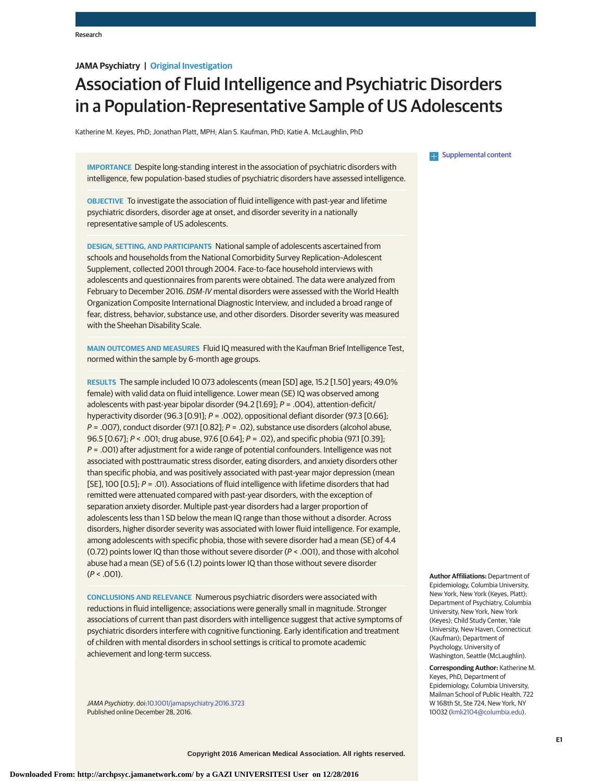# **JAMA Psychiatry | Original Investigation**

# Association of Fluid Intelligence and Psychiatric Disorders in a Population-Representative Sample of US Adolescents

Katherine M. Keyes, PhD; Jonathan Platt, MPH; Alan S. Kaufman, PhD; Katie A. McLaughlin, PhD

**IMPORTANCE** Despite long-standing interest in the association of psychiatric disorders with intelligence, few population-based studies of psychiatric disorders have assessed intelligence.

**OBJECTIVE** To investigate the association of fluid intelligence with past-year and lifetime psychiatric disorders, disorder age at onset, and disorder severity in a nationally representative sample of US adolescents.

**DESIGN, SETTING, AND PARTICIPANTS** National sample of adolescents ascertained from schools and households from the National Comorbidity Survey Replication–Adolescent Supplement, collected 2001 through 2004. Face-to-face household interviews with adolescents and questionnaires from parents were obtained. The data were analyzed from February to December 2016. DSM-IV mental disorders were assessed with the World Health Organization Composite International Diagnostic Interview, and included a broad range of fear, distress, behavior, substance use, and other disorders. Disorder severity was measured with the Sheehan Disability Scale.

**MAIN OUTCOMES AND MEASURES** Fluid IQ measured with the Kaufman Brief Intelligence Test, normed within the sample by 6-month age groups.

**RESULTS** The sample included 10 073 adolescents (mean [SD] age, 15.2 [1.50] years; 49.0% female) with valid data on fluid intelligence. Lower mean (SE) IQ was observed among adolescents with past-year bipolar disorder (94.2 [1.69]; P = .004), attention-deficit/ hyperactivity disorder (96.3 [0.91];  $P = .002$ ), oppositional defiant disorder (97.3 [0.66];  $P = .007$ ), conduct disorder (97.1 [0.82];  $P = .02$ ), substance use disorders (alcohol abuse, 96.5 [0.67]; P < .001; drug abuse, 97.6 [0.64]; P = .02), and specific phobia (97.1 [0.39];  $P = .001$ ) after adjustment for a wide range of potential confounders. Intelligence was not associated with posttraumatic stress disorder, eating disorders, and anxiety disorders other than specific phobia, and was positively associated with past-year major depression (mean [SE], 100 [0.5]; P = .01). Associations of fluid intelligence with lifetime disorders that had remitted were attenuated compared with past-year disorders, with the exception of separation anxiety disorder. Multiple past-year disorders had a larger proportion of adolescents less than 1 SD below the mean IQ range than those without a disorder. Across disorders, higher disorder severity was associated with lower fluid intelligence. For example, among adolescents with specific phobia, those with severe disorder had a mean (SE) of 4.4 (0.72) points lower IQ than those without severe disorder ( $P < .001$ ), and those with alcohol abuse had a mean (SE) of 5.6 (1.2) points lower IQ than those without severe disorder  $(P < .001)$ .

**CONCLUSIONS AND RELEVANCE** Numerous psychiatric disorders were associated with reductions in fluid intelligence; associations were generally small in magnitude. Stronger associations of current than past disorders with intelligence suggest that active symptoms of psychiatric disorders interfere with cognitive functioning. Early identification and treatment of children with mental disorders in school settings is critical to promote academic achievement and long-term success.

JAMA Psychiatry. doi[:10.1001/jamapsychiatry.2016.3723](http://jama.jamanetwork.com/article.aspx?doi=10.1001/jamapsychiatry.2016.3723&utm_campaign=articlePDF%26utm_medium=articlePDFlink%26utm_source=articlePDF%26utm_content=jamapsychiatry.2016.3723) Published online December 28, 2016.

Epidemiology, Columbia University, New York, New York (Keyes, Platt); Department of Psychiatry, Columbia University, New York, New York (Keyes); Child Study Center, Yale University, New Haven, Connecticut (Kaufman); Department of Psychology, University of Washington, Seattle (McLaughlin).

**Author Affiliations:** Department of

**Corresponding Author:** Katherine M. Keyes, PhD, Department of Epidemiology, Columbia University, Mailman School of Public Health, 722 W 168th St, Ste 724, New York, NY 10032 [\(kmk2104@columbia.edu\)](mailto:kmk2104@columbia.edu).

# **Examplemental content**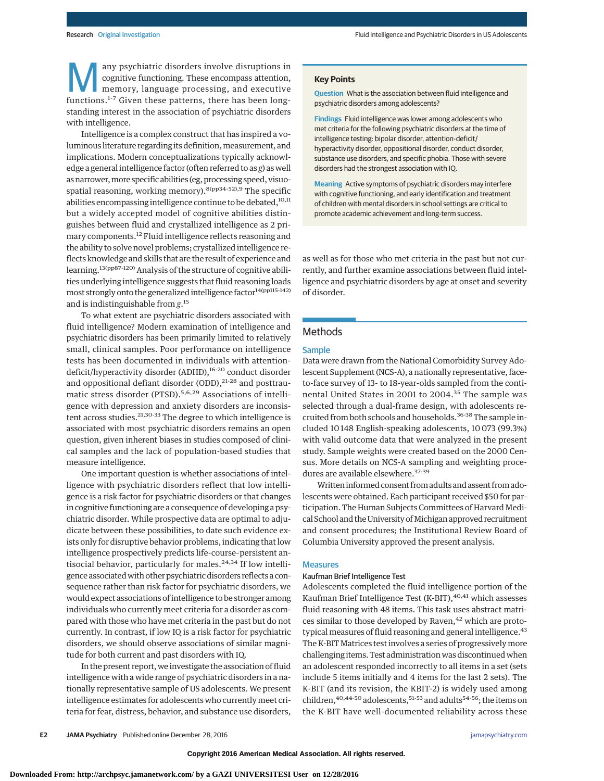Many psychiatric disorders involve disruptions in<br>
cognitive functioning. These encompass attention,<br>
memory, language processing, and executive<br>
functions <sup>1-7</sup> Given these patterns, there has been longcognitive functioning. These encompass attention, functions.<sup>1-7</sup> Given these patterns, there has been longstanding interest in the association of psychiatric disorders with intelligence.

Intelligence is a complex construct that has inspired a voluminous literature regarding its definition, measurement, and implications. Modern conceptualizations typically acknowledge a general intelligence factor (often referred to as *g*) as well as narrower, more specific abilities (eg, processing speed, visuospatial reasoning, working memory).<sup>8(pp34-52),9</sup> The specific abilities encompassing intelligence continue to be debated,<sup>10,11</sup> but a widely accepted model of cognitive abilities distinguishes between fluid and crystallized intelligence as 2 primary components.<sup>12</sup> Fluid intelligence reflects reasoning and the ability to solve novel problems; crystallized intelligence reflects knowledge and skills that are the result of experience and learning.<sup>13(pp87-120)</sup> Analysis of the structure of cognitive abilities underlying intelligence suggests that fluid reasoning loads most strongly onto the generalized intelligence factor<sup>14(pp115-142)</sup> and is indistinguishable from *g*. 15

To what extent are psychiatric disorders associated with fluid intelligence? Modern examination of intelligence and psychiatric disorders has been primarily limited to relatively small, clinical samples. Poor performance on intelligence tests has been documented in individuals with attentiondeficit/hyperactivity disorder (ADHD),<sup>16-20</sup> conduct disorder and oppositional defiant disorder (ODD),<sup>21-28</sup> and posttraumatic stress disorder (PTSD).<sup>5,6,29</sup> Associations of intelligence with depression and anxiety disorders are inconsistent across studies.<sup>21,30-33</sup> The degree to which intelligence is associated with most psychiatric disorders remains an open question, given inherent biases in studies composed of clinical samples and the lack of population-based studies that measure intelligence.

One important question is whether associations of intelligence with psychiatric disorders reflect that low intelligence is a risk factor for psychiatric disorders or that changes in cognitive functioning are a consequence of developing a psychiatric disorder. While prospective data are optimal to adjudicate between these possibilities, to date such evidence exists only for disruptive behavior problems, indicating that low intelligence prospectively predicts life-course–persistent antisocial behavior, particularly for males. $24,34$  If low intelligence associated with other psychiatric disorders reflects a consequence rather than risk factor for psychiatric disorders, we would expect associations of intelligence to be stronger among individuals who currently meet criteria for a disorder as compared with those who have met criteria in the past but do not currently. In contrast, if low IQ is a risk factor for psychiatric disorders, we should observe associations of similar magnitude for both current and past disorders with IQ.

In the present report, we investigate the association of fluid intelligence with a wide range of psychiatric disorders in a nationally representative sample of US adolescents. We present intelligence estimates for adolescents who currently meet criteria for fear, distress, behavior, and substance use disorders,

#### **Key Points**

**Question** What is the association between fluid intelligence and psychiatric disorders among adolescents?

**Findings** Fluid intelligence was lower among adolescents who met criteria for the following psychiatric disorders at the time of intelligence testing: bipolar disorder, attention-deficit/ hyperactivity disorder, oppositional disorder, conduct disorder, substance use disorders, and specific phobia. Those with severe disorders had the strongest association with IQ.

**Meaning** Active symptoms of psychiatric disorders may interfere with cognitive functioning, and early identification and treatment of children with mental disorders in school settings are critical to promote academic achievement and long-term success.

as well as for those who met criteria in the past but not currently, and further examine associations between fluid intelligence and psychiatric disorders by age at onset and severity of disorder.

# Methods

## Sample

Data were drawn from the National Comorbidity Survey Adolescent Supplement (NCS-A), a nationally representative, faceto-face survey of 13- to 18-year-olds sampled from the continental United States in 2001 to 2004.<sup>35</sup> The sample was selected through a dual-frame design, with adolescents recruited from both schools and households.<sup>36-38</sup> The sample included 10 148 English-speaking adolescents, 10 073 (99.3%) with valid outcome data that were analyzed in the present study. Sample weights were created based on the 2000 Census. More details on NCS-A sampling and weighting procedures are available elsewhere.37-39

Written informed consent from adults and assent from adolescents were obtained. Each participant received \$50 for participation. The Human Subjects Committees of Harvard Medical School and the University of Michigan approved recruitment and consent procedures; the Institutional Review Board of Columbia University approved the present analysis.

## **Measures**

#### Kaufman Brief Intelligence Test

Adolescents completed the fluid intelligence portion of the Kaufman Brief Intelligence Test  $(K-BIT)$ ,  $40,41$  which assesses fluid reasoning with 48 items. This task uses abstract matrices similar to those developed by Raven,<sup>42</sup> which are prototypical measures of fluid reasoning and general intelligence.<sup>43</sup> The K-BIT Matrices test involves a series of progressively more challenging items. Test administration was discontinued when an adolescent responded incorrectly to all items in a set (sets include 5 items initially and 4 items for the last 2 sets). The K-BIT (and its revision, the KBIT-2) is widely used among children,<sup>40,44-50</sup> adolescents,<sup>51-53</sup> and adults<sup>54-56</sup>; the items on the K-BIT have well-documented reliability across these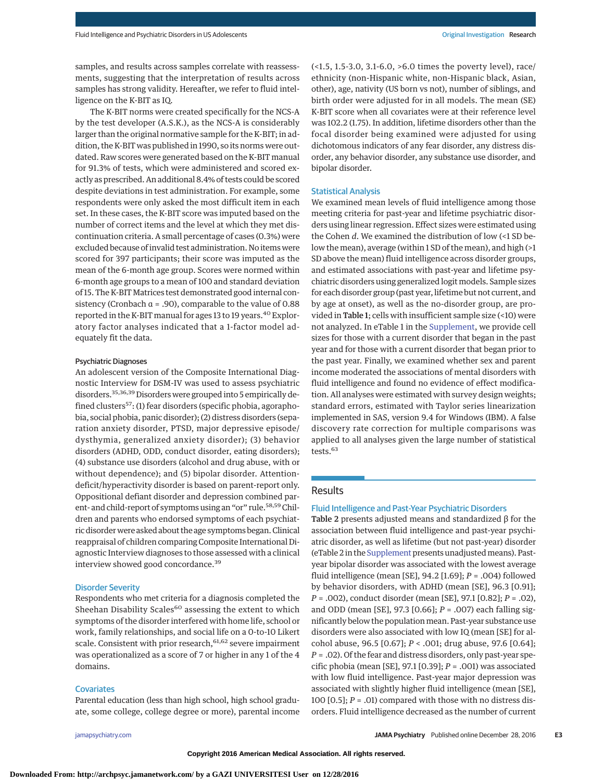samples, and results across samples correlate with reassessments, suggesting that the interpretation of results across samples has strong validity. Hereafter, we refer to fluid intelligence on the K-BIT as IQ.

The K-BIT norms were created specifically for the NCS-A by the test developer (A.S.K.), as the NCS-A is considerably larger than the original normative sample for the K-BIT; in addition, the K-BIT was published in 1990, so its norms were outdated. Raw scores were generated based on the K-BIT manual for 91.3% of tests, which were administered and scored exactly as prescribed. An additional 8.4% of tests could be scored despite deviations in test administration. For example, some respondents were only asked the most difficult item in each set. In these cases, the K-BIT score was imputed based on the number of correct items and the level at which they met discontinuation criteria. A small percentage of cases (0.3%) were excluded because of invalid test administration. No items were scored for 397 participants; their score was imputed as the mean of the 6-month age group. Scores were normed within 6-month age groups to a mean of 100 and standard deviation of 15. The K-BIT Matrices test demonstrated good internal consistency (Cronbach α = .90), comparable to the value of 0.88 reported in the K-BIT manual for ages 13 to 19 years.<sup>40</sup> Exploratory factor analyses indicated that a 1-factor model adequately fit the data.

#### Psychiatric Diagnoses

An adolescent version of the Composite International Diagnostic Interview for DSM-IV was used to assess psychiatric disorders.<sup>35,36,39</sup> Disorders were grouped into 5 empirically defined clusters<sup>57</sup>: (1) fear disorders (specific phobia, agoraphobia, social phobia, panic disorder); (2) distress disorders (separation anxiety disorder, PTSD, major depressive episode/ dysthymia, generalized anxiety disorder); (3) behavior disorders (ADHD, ODD, conduct disorder, eating disorders); (4) substance use disorders (alcohol and drug abuse, with or without dependence); and (5) bipolar disorder. Attentiondeficit/hyperactivity disorder is based on parent-report only. Oppositional defiant disorder and depression combined parent- and child-report of symptoms using an "or" rule.<sup>58,59</sup> Children and parents who endorsed symptoms of each psychiatric disorder were asked about the age symptoms began. Clinical reappraisal of children comparing Composite International Diagnostic Interview diagnoses to those assessed with a clinical interview showed good concordance.<sup>39</sup>

#### Disorder Severity

Respondents who met criteria for a diagnosis completed the Sheehan Disability Scales<sup>60</sup> assessing the extent to which symptoms of the disorder interfered with home life, school or work, family relationships, and social life on a 0-to-10 Likert scale. Consistent with prior research,<sup>61,62</sup> severe impairment was operationalized as a score of 7 or higher in any 1 of the 4 domains.

## **Covariates**

Parental education (less than high school, high school graduate, some college, college degree or more), parental income

(<1.5, 1.5-3.0, 3.1-6.0, >6.0 times the poverty level), race/ ethnicity (non-Hispanic white, non-Hispanic black, Asian, other), age, nativity (US born vs not), number of siblings, and birth order were adjusted for in all models. The mean (SE) K-BIT score when all covariates were at their reference level was 102.2 (1.75). In addition, lifetime disorders other than the focal disorder being examined were adjusted for using dichotomous indicators of any fear disorder, any distress disorder, any behavior disorder, any substance use disorder, and bipolar disorder.

## Statistical Analysis

We examined mean levels of fluid intelligence among those meeting criteria for past-year and lifetime psychiatric disorders using linear regression. Effect sizes were estimated using the Cohen *d*. We examined the distribution of low (<1 SD below the mean), average (within 1 SD of the mean), and high (>1 SD above the mean) fluid intelligence across disorder groups, and estimated associations with past-year and lifetime psychiatric disorders using generalized logit models. Sample sizes for each disorder group (past year, lifetime but not current, and by age at onset), as well as the no-disorder group, are provided in Table 1; cells with insufficient sample size (<10) were not analyzed. In eTable 1 in the [Supplement,](http://jama.jamanetwork.com/article.aspx?doi=10.1001/jamapsychiatry.2016.3723&utm_campaign=articlePDF%26utm_medium=articlePDFlink%26utm_source=articlePDF%26utm_content=jamapsychiatry.2016.3723) we provide cell sizes for those with a current disorder that began in the past year and for those with a current disorder that began prior to the past year. Finally, we examined whether sex and parent income moderated the associations of mental disorders with fluid intelligence and found no evidence of effect modification. All analyses were estimated with survey design weights; standard errors, estimated with Taylor series linearization implemented in SAS, version 9.4 for Windows (IBM). A false discovery rate correction for multiple comparisons was applied to all analyses given the large number of statistical tests.<sup>63</sup>

## **Results**

## Fluid Intelligence and Past-Year Psychiatric Disorders

Table 2 presents adjusted means and standardized  $β$  for the association between fluid intelligence and past-year psychiatric disorder, as well as lifetime (but not past-year) disorder (eTable 2 in the [Supplement](http://jama.jamanetwork.com/article.aspx?doi=10.1001/jamapsychiatry.2016.3723&utm_campaign=articlePDF%26utm_medium=articlePDFlink%26utm_source=articlePDF%26utm_content=jamapsychiatry.2016.3723) presents unadjusted means). Pastyear bipolar disorder was associated with the lowest average fluid intelligence (mean [SE], 94.2 [1.69]; *P* = .004) followed by behavior disorders, with ADHD (mean [SE], 96.3 [0.91]; *P* = .002), conduct disorder (mean [SE], 97.1 [0.82]; *P* = .02), and ODD (mean [SE], 97.3 [0.66]; *P* = .007) each falling significantly below the populationmean. Past-year substance use disorders were also associated with low IQ (mean [SE] for alcohol abuse, 96.5 [0.67]; *P* < .001; drug abuse, 97.6 [0.64]; *P* = .02). Of the fear and distress disorders, only past-year specific phobia (mean [SE], 97.1 [0.39]; *P* = .001) was associated with low fluid intelligence. Past-year major depression was associated with slightly higher fluid intelligence (mean [SE], 100 [0.5]; *P* = .01) compared with those with no distress disorders. Fluid intelligence decreased as the number of current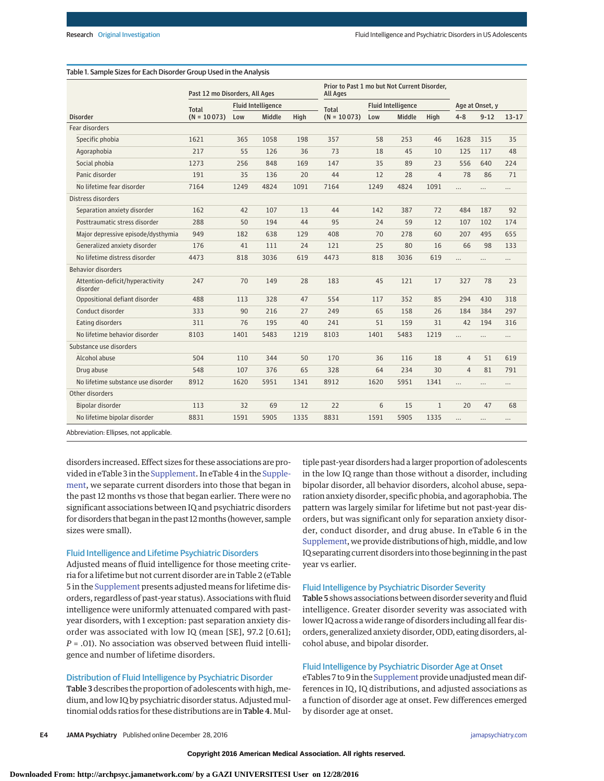|                                             | Past 12 mo Disorders, All Ages |      |                           | Prior to Past 1 mo but Not Current Disorder,<br><b>All Ages</b> |               |      |                           |                |                |                 |           |
|---------------------------------------------|--------------------------------|------|---------------------------|-----------------------------------------------------------------|---------------|------|---------------------------|----------------|----------------|-----------------|-----------|
|                                             | <b>Total</b>                   |      | <b>Fluid Intelligence</b> |                                                                 | <b>Total</b>  |      | <b>Fluid Intelligence</b> |                |                | Age at Onset, y |           |
| <b>Disorder</b>                             | $(N = 10073)$                  | Low  | <b>Middle</b>             | High                                                            | $(N = 10073)$ | Low  | Middle                    | High           | $4 - 8$        | $9 - 12$        | $13 - 17$ |
| Fear disorders                              |                                |      |                           |                                                                 |               |      |                           |                |                |                 |           |
| Specific phobia                             | 1621                           | 365  | 1058                      | 198                                                             | 357           | 58   | 253                       | 46             | 1628           | 315             | 35        |
| Agoraphobia                                 | 217                            | 55   | 126                       | 36                                                              | 73            | 18   | 45                        | 10             | 125            | 117             | 48        |
| Social phobia                               | 1273                           | 256  | 848                       | 169                                                             | 147           | 35   | 89                        | 23             | 556            | 640             | 224       |
| Panic disorder                              | 191                            | 35   | 136                       | 20                                                              | 44            | 12   | 28                        | $\overline{4}$ | 78             | 86              | 71        |
| No lifetime fear disorder                   | 7164                           | 1249 | 4824                      | 1091                                                            | 7164          | 1249 | 4824                      | 1091           |                | $\cdots$        | $\cdots$  |
| Distress disorders                          |                                |      |                           |                                                                 |               |      |                           |                |                |                 |           |
| Separation anxiety disorder                 | 162                            | 42   | 107                       | 13                                                              | 44            | 142  | 387                       | 72             | 484            | 187             | 92        |
| Posttraumatic stress disorder               | 288                            | 50   | 194                       | 44                                                              | 95            | 24   | 59                        | 12             | 107            | 102             | 174       |
| Major depressive episode/dysthymia          | 949                            | 182  | 638                       | 129                                                             | 408           | 70   | 278                       | 60             | 207            | 495             | 655       |
| Generalized anxiety disorder                | 176                            | 41   | 111                       | 24                                                              | 121           | 25   | 80                        | 16             | 66             | 98              | 133       |
| No lifetime distress disorder               | 4473                           | 818  | 3036                      | 619                                                             | 4473          | 818  | 3036                      | 619            | .              | $\cdots$        | $\cdots$  |
| <b>Behavior disorders</b>                   |                                |      |                           |                                                                 |               |      |                           |                |                |                 |           |
| Attention-deficit/hyperactivity<br>disorder | 247                            | 70   | 149                       | 28                                                              | 183           | 45   | 121                       | 17             | 327            | 78              | 23        |
| Oppositional defiant disorder               | 488                            | 113  | 328                       | 47                                                              | 554           | 117  | 352                       | 85             | 294            | 430             | 318       |
| Conduct disorder                            | 333                            | 90   | 216                       | 27                                                              | 249           | 65   | 158                       | 26             | 184            | 384             | 297       |
| Eating disorders                            | 311                            | 76   | 195                       | 40                                                              | 241           | 51   | 159                       | 31             | 42             | 194             | 316       |
| No lifetime behavior disorder               | 8103                           | 1401 | 5483                      | 1219                                                            | 8103          | 1401 | 5483                      | 1219           |                | $\cdots$        | $\cdots$  |
| Substance use disorders                     |                                |      |                           |                                                                 |               |      |                           |                |                |                 |           |
| Alcohol abuse                               | 504                            | 110  | 344                       | 50                                                              | 170           | 36   | 116                       | 18             | $\overline{4}$ | 51              | 619       |
| Drug abuse                                  | 548                            | 107  | 376                       | 65                                                              | 328           | 64   | 234                       | 30             | $\overline{4}$ | 81              | 791       |
| No lifetime substance use disorder          | 8912                           | 1620 | 5951                      | 1341                                                            | 8912          | 1620 | 5951                      | 1341           |                | $\cdots$        | $\cdots$  |
| Other disorders                             |                                |      |                           |                                                                 |               |      |                           |                |                |                 |           |
| Bipolar disorder                            | 113                            | 32   | 69                        | 12                                                              | 22            | 6    | 15                        | $\mathbf{1}$   | 20             | 47              | 68        |
| No lifetime bipolar disorder                | 8831                           | 1591 | 5905                      | 1335                                                            | 8831          | 1591 | 5905                      | 1335           | $\cdots$       | $\cdots$        | $\cdots$  |

#### Table 1. Sample Sizes for Each Disorder Group Used in the Analysis

disorders increased. Effect sizes for these associations are provided in eTable 3 in the [Supplement.](http://jama.jamanetwork.com/article.aspx?doi=10.1001/jamapsychiatry.2016.3723&utm_campaign=articlePDF%26utm_medium=articlePDFlink%26utm_source=articlePDF%26utm_content=jamapsychiatry.2016.3723) In eTable 4 in the [Supple](http://jama.jamanetwork.com/article.aspx?doi=10.1001/jamapsychiatry.2016.3723&utm_campaign=articlePDF%26utm_medium=articlePDFlink%26utm_source=articlePDF%26utm_content=jamapsychiatry.2016.3723)[ment,](http://jama.jamanetwork.com/article.aspx?doi=10.1001/jamapsychiatry.2016.3723&utm_campaign=articlePDF%26utm_medium=articlePDFlink%26utm_source=articlePDF%26utm_content=jamapsychiatry.2016.3723) we separate current disorders into those that began in the past 12 months vs those that began earlier. There were no significant associations between IQ and psychiatric disorders for disorders that began in the past 12 months (however, sample sizes were small).

## Fluid Intelligence and Lifetime Psychiatric Disorders

Adjusted means of fluid intelligence for those meeting criteria for a lifetime but not current disorder are in Table 2 (eTable 5 in the [Supplement](http://jama.jamanetwork.com/article.aspx?doi=10.1001/jamapsychiatry.2016.3723&utm_campaign=articlePDF%26utm_medium=articlePDFlink%26utm_source=articlePDF%26utm_content=jamapsychiatry.2016.3723) presents adjusted means for lifetime disorders, regardless of past-year status). Associations with fluid intelligence were uniformly attenuated compared with pastyear disorders, with 1 exception: past separation anxiety disorder was associated with low IQ (mean [SE], 97.2 [0.61]; *P* = .01). No association was observed between fluid intelligence and number of lifetime disorders.

## Distribution of Fluid Intelligence by Psychiatric Disorder

Table 3 describes the proportion of adolescents with high, medium, and low IQ by psychiatric disorder status. Adjusted multinomial odds ratios for these distributions are in Table 4. Multiple past-year disorders had a larger proportion of adolescents in the low IQ range than those without a disorder, including bipolar disorder, all behavior disorders, alcohol abuse, separation anxiety disorder, specific phobia, and agoraphobia. The pattern was largely similar for lifetime but not past-year disorders, but was significant only for separation anxiety disorder, conduct disorder, and drug abuse. In eTable 6 in the [Supplement,](http://jama.jamanetwork.com/article.aspx?doi=10.1001/jamapsychiatry.2016.3723&utm_campaign=articlePDF%26utm_medium=articlePDFlink%26utm_source=articlePDF%26utm_content=jamapsychiatry.2016.3723) we provide distributions of high, middle, and low IQ separating current disorders into those beginning in the past year vs earlier.

## Fluid Intelligence by Psychiatric Disorder Severity

Table 5 shows associations between disorder severity and fluid intelligence. Greater disorder severity was associated with lower IQ across a wide range of disorders including all fear disorders, generalized anxiety disorder, ODD, eating disorders, alcohol abuse, and bipolar disorder.

# Fluid Intelligence by Psychiatric Disorder Age at Onset

eTables 7 to 9 in the [Supplement](http://jama.jamanetwork.com/article.aspx?doi=10.1001/jamapsychiatry.2016.3723&utm_campaign=articlePDF%26utm_medium=articlePDFlink%26utm_source=articlePDF%26utm_content=jamapsychiatry.2016.3723) provide unadjusted mean differences in IQ, IQ distributions, and adjusted associations as a function of disorder age at onset. Few differences emerged by disorder age at onset.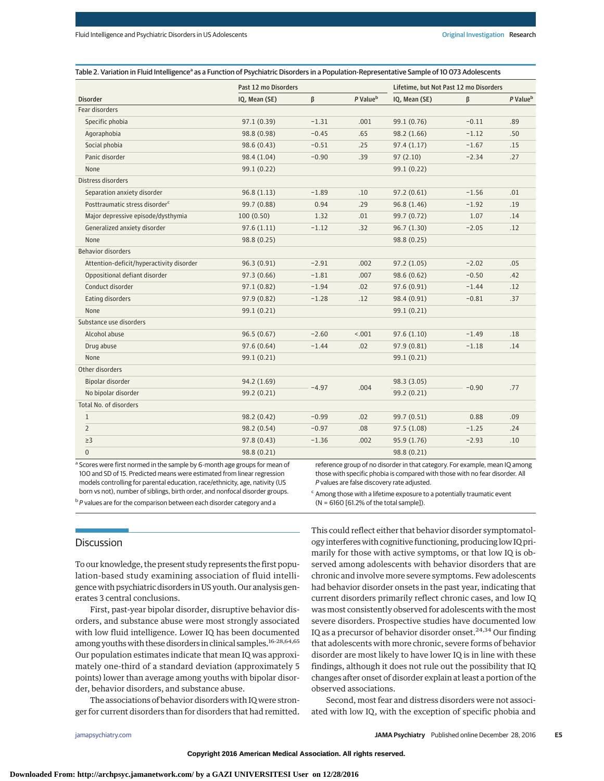|                                            | Past 12 mo Disorders | Lifetime, but Not Past 12 mo Disorders |                      |               |         |                      |
|--------------------------------------------|----------------------|----------------------------------------|----------------------|---------------|---------|----------------------|
| <b>Disorder</b>                            | IQ, Mean (SE)        | β                                      | P Value <sup>b</sup> | IQ, Mean (SE) | β       | P Value <sup>b</sup> |
| Fear disorders                             |                      |                                        |                      |               |         |                      |
| Specific phobia                            | 97.1(0.39)           | $-1.31$                                | .001                 | 99.1 (0.76)   | $-0.11$ | .89                  |
| Agoraphobia                                | 98.8 (0.98)          | $-0.45$                                | .65                  | 98.2(1.66)    | $-1.12$ | .50                  |
| Social phobia                              | 98.6 (0.43)          | $-0.51$                                | .25                  | 97.4(1.17)    | $-1.67$ | .15                  |
| Panic disorder                             | 98.4 (1.04)          | $-0.90$                                | .39                  | 97(2.10)      | $-2.34$ | .27                  |
| None                                       | 99.1 (0.22)          |                                        |                      | 99.1 (0.22)   |         |                      |
| Distress disorders                         |                      |                                        |                      |               |         |                      |
| Separation anxiety disorder                | 96.8(1.13)           | $-1.89$                                | .10                  | 97.2(0.61)    | $-1.56$ | .01                  |
| Posttraumatic stress disorder <sup>c</sup> | 99.7 (0.88)          | 0.94                                   | .29                  | 96.8(1.46)    | $-1.92$ | .19                  |
| Major depressive episode/dysthymia         | 100(0.50)            | 1.32                                   | .01                  | 99.7 (0.72)   | 1.07    | .14                  |
| Generalized anxiety disorder               | 97.6(1.11)           | $-1.12$                                | .32                  | 96.7(1.30)    | $-2.05$ | .12                  |
| None                                       | 98.8 (0.25)          |                                        |                      | 98.8 (0.25)   |         |                      |
| <b>Behavior disorders</b>                  |                      |                                        |                      |               |         |                      |
| Attention-deficit/hyperactivity disorder   | 96.3(0.91)           | $-2.91$                                | .002                 | 97.2(1.05)    | $-2.02$ | .05                  |
| Oppositional defiant disorder              | 97.3(0.66)           | $-1.81$                                | .007                 | 98.6 (0.62)   | $-0.50$ | .42                  |
| Conduct disorder                           | 97.1(0.82)           | $-1.94$                                | .02                  | 97.6 (0.91)   | $-1.44$ | .12                  |
| Eating disorders                           | 97.9 (0.82)          | $-1.28$                                | .12                  | 98.4 (0.91)   | $-0.81$ | .37                  |
| None                                       | 99.1 (0.21)          |                                        |                      | 99.1 (0.21)   |         |                      |
| Substance use disorders                    |                      |                                        |                      |               |         |                      |
| Alcohol abuse                              | 96.5(0.67)           | $-2.60$                                | 15001                | 97.6(1.10)    | $-1.49$ | .18                  |
| Drug abuse                                 | 97.6 (0.64)          | $-1.44$                                | .02                  | 97.9 (0.81)   | $-1.18$ | .14                  |
| None                                       | 99.1 (0.21)          |                                        |                      | 99.1 (0.21)   |         |                      |
| Other disorders                            |                      |                                        |                      |               |         |                      |
| Bipolar disorder                           | 94.2 (1.69)          | $-4.97$                                | .004                 | 98.3 (3.05)   | $-0.90$ |                      |
| No bipolar disorder                        | 99.2 (0.21)          |                                        |                      | 99.2 (0.21)   |         | .77                  |
| Total No. of disorders                     |                      |                                        |                      |               |         |                      |
| $\mathbf{1}$                               | 98.2 (0.42)          | $-0.99$                                | .02                  | 99.7 (0.51)   | 0.88    | .09                  |
| $\overline{2}$                             | 98.2 (0.54)          | $-0.97$                                | .08                  | 97.5(1.08)    | $-1.25$ | .24                  |
| $\geq$ 3                                   | 97.8 (0.43)          | $-1.36$                                | .002                 | 95.9 (1.76)   | $-2.93$ | .10                  |
| $\overline{0}$                             | 98.8 (0.21)          |                                        |                      | 98.8 (0.21)   |         |                      |

| Table 2. Variation in Fluid Intelligence <sup>a</sup> as a Function of Psychiatric Disorders in a Population-Representative Sample of 10073 Adolescents |
|---------------------------------------------------------------------------------------------------------------------------------------------------------|
|---------------------------------------------------------------------------------------------------------------------------------------------------------|

<sup>a</sup> Scores were first normed in the sample by 6-month age groups for mean of 100 and SD of 15. Predicted means were estimated from linear regression models controlling for parental education, race/ethnicity, age, nativity (US born vs not), number of siblings, birth order, and nonfocal disorder groups.

reference group of no disorder in that category. For example, mean IQ among those with specific phobia is compared with those with no fear disorder. All P values are false discovery rate adjusted.

 $b$  P values are for the comparison between each disorder category and a

<sup>c</sup> Among those with a lifetime exposure to a potentially traumatic event (N = 6160 [61.2% of the total sample]).

# Discussion

To our knowledge, the present study represents the first population-based study examining association of fluid intelligence with psychiatric disorders in US youth. Our analysis generates 3 central conclusions.

First, past-year bipolar disorder, disruptive behavior disorders, and substance abuse were most strongly associated with low fluid intelligence. Lower IQ has been documented among youths with these disorders in clinical samples.<sup>16-28,64,65</sup> Our population estimates indicate that mean IQ was approximately one-third of a standard deviation (approximately 5 points) lower than average among youths with bipolar disorder, behavior disorders, and substance abuse.

The associations of behavior disorders with IQ were stronger for current disorders than for disorders that had remitted. This could reflect either that behavior disorder symptomatology interferes with cognitive functioning, producing low IQ primarily for those with active symptoms, or that low IQ is observed among adolescents with behavior disorders that are chronic and involve more severe symptoms. Few adolescents had behavior disorder onsets in the past year, indicating that current disorders primarily reflect chronic cases, and low IQ was most consistently observed for adolescents with the most severe disorders. Prospective studies have documented low IQ as a precursor of behavior disorder onset.<sup>24,34</sup> Our finding that adolescents with more chronic, severe forms of behavior disorder are most likely to have lower IQ is in line with these findings, although it does not rule out the possibility that IQ changes after onset of disorder explain at least a portion of the observed associations.

Second, most fear and distress disorders were not associated with low IQ, with the exception of specific phobia and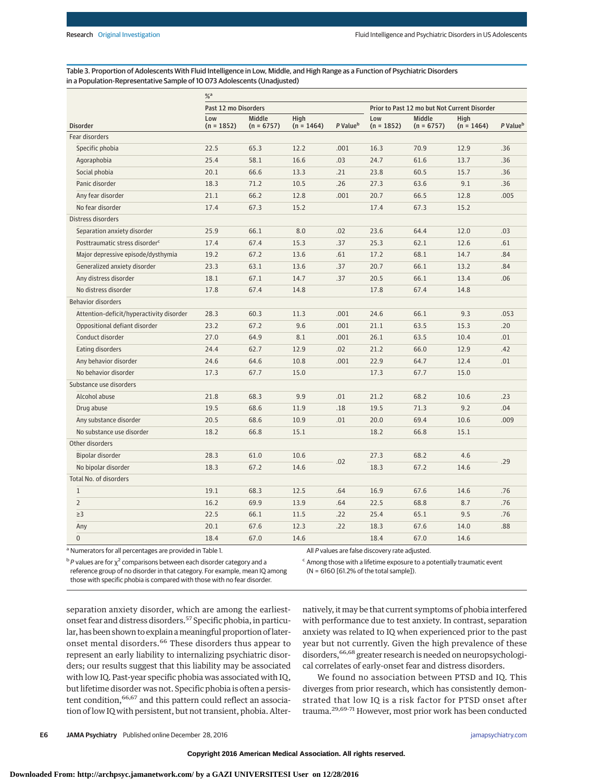Table 3. Proportion of Adolescents With Fluid Intelligence in Low, Middle, and High Range as a Function of Psychiatric Disorders in a Population-Representative Sample of 10 073 Adolescents (Unadjusted)

|                                            | $\%$ <sup>a</sup>    |                        |                      |                      |                                              |                               |                      |                      |  |
|--------------------------------------------|----------------------|------------------------|----------------------|----------------------|----------------------------------------------|-------------------------------|----------------------|----------------------|--|
|                                            | Past 12 mo Disorders |                        |                      |                      | Prior to Past 12 mo but Not Current Disorder |                               |                      |                      |  |
| <b>Disorder</b>                            | Low<br>$(n = 1852)$  | Middle<br>$(n = 6757)$ | High<br>$(n = 1464)$ | P Value <sup>b</sup> | Low<br>$(n = 1852)$                          | <b>Middle</b><br>$(n = 6757)$ | High<br>$(n = 1464)$ | P Value <sup>b</sup> |  |
| Fear disorders                             |                      |                        |                      |                      |                                              |                               |                      |                      |  |
| Specific phobia                            | 22.5                 | 65.3                   | 12.2                 | .001                 | 16.3                                         | 70.9                          | 12.9                 | .36                  |  |
| Agoraphobia                                | 25.4                 | 58.1                   | 16.6                 | .03                  | 24.7                                         | 61.6                          | 13.7                 | .36                  |  |
| Social phobia                              | 20.1                 | 66.6                   | 13.3                 | .21                  | 23.8                                         | 60.5                          | 15.7                 | .36                  |  |
| Panic disorder                             | 18.3                 | 71.2                   | 10.5                 | .26                  | 27.3                                         | 63.6                          | 9.1                  | .36                  |  |
| Any fear disorder                          | 21.1                 | 66.2                   | 12.8                 | .001                 | 20.7                                         | 66.5                          | 12.8                 | .005                 |  |
| No fear disorder                           | 17.4                 | 67.3                   | 15.2                 |                      | 17.4                                         | 67.3                          | 15.2                 |                      |  |
| Distress disorders                         |                      |                        |                      |                      |                                              |                               |                      |                      |  |
| Separation anxiety disorder                | 25.9                 | 66.1                   | 8.0                  | .02                  | 23.6                                         | 64.4                          | 12.0                 | .03                  |  |
| Posttraumatic stress disorder <sup>c</sup> | 17.4                 | 67.4                   | 15.3                 | .37                  | 25.3                                         | 62.1                          | 12.6                 | .61                  |  |
| Major depressive episode/dysthymia         | 19.2                 | 67.2                   | 13.6                 | .61                  | 17.2                                         | 68.1                          | 14.7                 | .84                  |  |
| Generalized anxiety disorder               | 23.3                 | 63.1                   | 13.6                 | .37                  | 20.7                                         | 66.1                          | 13.2                 | .84                  |  |
| Any distress disorder                      | 18.1                 | 67.1                   | 14.7                 | .37                  | 20.5                                         | 66.1                          | 13.4                 | .06                  |  |
| No distress disorder                       | 17.8                 | 67.4                   | 14.8                 |                      | 17.8                                         | 67.4                          | 14.8                 |                      |  |
| <b>Behavior disorders</b>                  |                      |                        |                      |                      |                                              |                               |                      |                      |  |
| Attention-deficit/hyperactivity disorder   | 28.3                 | 60.3                   | 11.3                 | .001                 | 24.6                                         | 66.1                          | 9.3                  | .053                 |  |
| Oppositional defiant disorder              | 23.2                 | 67.2                   | 9.6                  | .001                 | 21.1                                         | 63.5                          | 15.3                 | .20                  |  |
| Conduct disorder                           | 27.0                 | 64.9                   | 8.1                  | .001                 | 26.1                                         | 63.5                          | 10.4                 | .01                  |  |
| Eating disorders                           | 24.4                 | 62.7                   | 12.9                 | .02                  | 21.2                                         | 66.0                          | 12.9                 | .42                  |  |
| Any behavior disorder                      | 24.6                 | 64.6                   | 10.8                 | .001                 | 22.9                                         | 64.7                          | 12.4                 | .01                  |  |
| No behavior disorder                       | 17.3                 | 67.7                   | 15.0                 |                      | 17.3                                         | 67.7                          | 15.0                 |                      |  |
| Substance use disorders                    |                      |                        |                      |                      |                                              |                               |                      |                      |  |
| Alcohol abuse                              | 21.8                 | 68.3                   | 9.9                  | .01                  | 21.2                                         | 68.2                          | 10.6                 | .23                  |  |
| Drug abuse                                 | 19.5                 | 68.6                   | 11.9                 | .18                  | 19.5                                         | 71.3                          | 9.2                  | .04                  |  |
| Any substance disorder                     | 20.5                 | 68.6                   | 10.9                 | .01                  | 20.0                                         | 69.4                          | 10.6                 | .009                 |  |
| No substance use disorder                  | 18.2                 | 66.8                   | 15.1                 |                      | 18.2                                         | 66.8                          | 15.1                 |                      |  |
| Other disorders                            |                      |                        |                      |                      |                                              |                               |                      |                      |  |
| Bipolar disorder                           | 28.3                 | 61.0                   | 10.6                 |                      | 27.3                                         | 68.2                          | 4.6                  |                      |  |
| No bipolar disorder                        | 18.3                 | 67.2                   | 14.6                 | .02                  | 18.3                                         | 67.2                          | 14.6                 | .29                  |  |
| Total No. of disorders                     |                      |                        |                      |                      |                                              |                               |                      |                      |  |
| $1\,$                                      | 19.1                 | 68.3                   | 12.5                 | .64                  | 16.9                                         | 67.6                          | 14.6                 | .76                  |  |
| $\overline{2}$                             | 16.2                 | 69.9                   | 13.9                 | .64                  | 22.5                                         | 68.8                          | 8.7                  | .76                  |  |
| $\geq$ 3                                   | 22.5                 | 66.1                   | 11.5                 | .22                  | 25.4                                         | 65.1                          | 9.5                  | .76                  |  |
| Any                                        | 20.1                 | 67.6                   | 12.3                 | .22                  | 18.3                                         | 67.6                          | 14.0                 | .88                  |  |
| $\overline{0}$                             | 18.4                 | 67.0                   | 14.6                 |                      | 18.4                                         | 67.0                          | 14.6                 |                      |  |

<sup>a</sup> Numerators for all percentages are provided in Table 1.

 $b$  P values are for  $\chi^2$  comparisons between each disorder category and a reference group of no disorder in that category. For example, mean IQ among those with specific phobia is compared with those with no fear disorder.

All P values are false discovery rate adjusted.

<sup>c</sup> Among those with a lifetime exposure to a potentially traumatic event (N = 6160 [61.2% of the total sample]).

separation anxiety disorder, which are among the earliestonset fear and distress disorders.<sup>57</sup> Specific phobia, in particular, has been shown to explain ameaningful proportion of lateronset mental disorders.<sup>66</sup> These disorders thus appear to represent an early liability to internalizing psychiatric disorders; our results suggest that this liability may be associated with low IQ. Past-year specific phobia was associated with IQ, but lifetime disorder was not. Specific phobia is often a persistent condition,<sup>66,67</sup> and this pattern could reflect an association of low IQ with persistent, but not transient, phobia. Alternatively, it may be that current symptoms of phobia interfered with performance due to test anxiety. In contrast, separation anxiety was related to IQ when experienced prior to the past year but not currently. Given the high prevalence of these disorders, <sup>66,68</sup> greater research is needed on neuropsychological correlates of early-onset fear and distress disorders.

We found no association between PTSD and IQ. This diverges from prior research, which has consistently demonstrated that low IQ is a risk factor for PTSD onset after trauma.29,69-71 However, most prior work has been conducted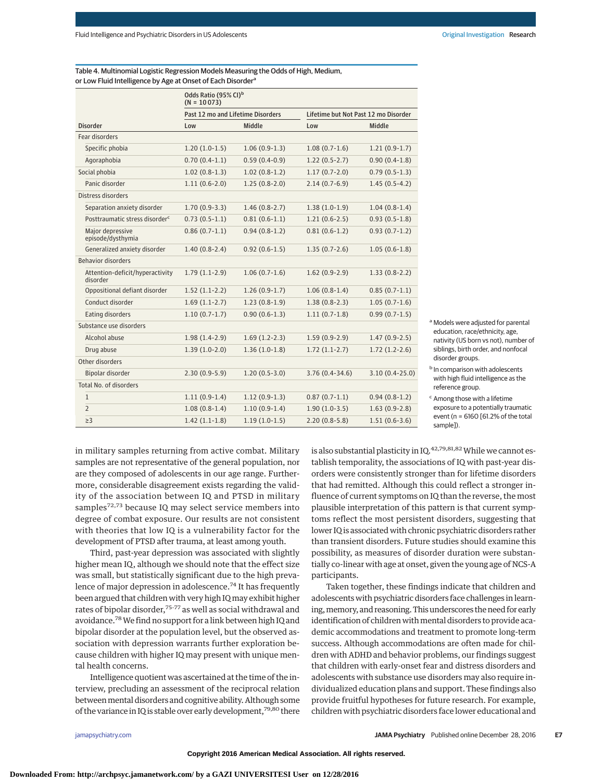## Table 4. Multinomial Logistic Regression Models Measuring the Odds of High, Medium, or Low Fluid Intelligence by Age at Onset of Each Disorder<sup>a</sup>

|                                             | Odds Ratio (95% CI) <sup>b</sup><br>$(N = 10073)$ |                 |                                      |                  |  |  |
|---------------------------------------------|---------------------------------------------------|-----------------|--------------------------------------|------------------|--|--|
|                                             | Past 12 mo and Lifetime Disorders                 |                 | Lifetime but Not Past 12 mo Disorder |                  |  |  |
| <b>Disorder</b>                             | Low                                               | Middle          | Low                                  | <b>Middle</b>    |  |  |
| Fear disorders                              |                                                   |                 |                                      |                  |  |  |
| Specific phobia                             | $1.20(1.0-1.5)$                                   | $1.06(0.9-1.3)$ | $1.08(0.7-1.6)$                      | $1.21(0.9-1.7)$  |  |  |
| Agoraphobia                                 | $0.70(0.4-1.1)$                                   | $0.59(0.4-0.9)$ | $1.22(0.5-2.7)$                      | $0.90(0.4-1.8)$  |  |  |
| Social phobia                               | $1.02(0.8-1.3)$                                   | $1.02(0.8-1.2)$ | $1.17(0.7-2.0)$                      | $0.79(0.5-1.3)$  |  |  |
| Panic disorder                              | $1.11(0.6-2.0)$                                   | $1.25(0.8-2.0)$ | $2.14(0.7-6.9)$                      | $1.45(0.5-4.2)$  |  |  |
| Distress disorders                          |                                                   |                 |                                      |                  |  |  |
| Separation anxiety disorder                 | $1.70(0.9-3.3)$                                   | $1.46(0.8-2.7)$ | $1.38(1.0-1.9)$                      | $1.04(0.8-1.4)$  |  |  |
| Posttraumatic stress disorder <sup>c</sup>  | $0.73(0.5-1.1)$                                   | $0.81(0.6-1.1)$ | $1.21(0.6-2.5)$                      | $0.93(0.5-1.8)$  |  |  |
| Major depressive<br>episode/dysthymia       | $0.86(0.7-1.1)$                                   | $0.94(0.8-1.2)$ | $0.81(0.6-1.2)$                      | $0.93(0.7-1.2)$  |  |  |
| Generalized anxiety disorder                | $1.40(0.8-2.4)$                                   | $0.92(0.6-1.5)$ | $1.35(0.7-2.6)$                      | $1.05(0.6-1.8)$  |  |  |
| <b>Behavior disorders</b>                   |                                                   |                 |                                      |                  |  |  |
| Attention-deficit/hyperactivity<br>disorder | $1.79(1.1-2.9)$                                   | $1.06(0.7-1.6)$ | $1.62(0.9-2.9)$                      | $1.33(0.8-2.2)$  |  |  |
| Oppositional defiant disorder               | $1.52(1.1-2.2)$                                   | $1.26(0.9-1.7)$ | $1.06(0.8-1.4)$                      | $0.85(0.7-1.1)$  |  |  |
| Conduct disorder                            | $1.69(1.1-2.7)$                                   | $1.23(0.8-1.9)$ | $1.38(0.8-2.3)$                      | $1.05(0.7-1.6)$  |  |  |
| Eating disorders                            | $1.10(0.7-1.7)$                                   | $0.90(0.6-1.3)$ | $1.11(0.7-1.8)$                      | $0.99(0.7-1.5)$  |  |  |
| Substance use disorders                     |                                                   |                 |                                      |                  |  |  |
| Alcohol abuse                               | $1.98(1.4-2.9)$                                   | $1.69(1.2-2.3)$ | $1.59(0.9-2.9)$                      | $1.47(0.9-2.5)$  |  |  |
| Drug abuse                                  | $1.39(1.0-2.0)$                                   | $1.36(1.0-1.8)$ | $1.72(1.1-2.7)$                      | $1.72(1.2-2.6)$  |  |  |
| Other disorders                             |                                                   |                 |                                      |                  |  |  |
| Bipolar disorder                            | $2.30(0.9-5.9)$                                   | $1.20(0.5-3.0)$ | $3.76(0.4-34.6)$                     | $3.10(0.4-25.0)$ |  |  |
| Total No. of disorders                      |                                                   |                 |                                      |                  |  |  |
| $\mathbf{1}$                                | $1.11(0.9-1.4)$                                   | $1.12(0.9-1.3)$ | $0.87(0.7-1.1)$                      | $0.94(0.8-1.2)$  |  |  |
| $\overline{2}$                              | $1.08(0.8-1.4)$                                   | $1.10(0.9-1.4)$ | $1.90(1.0-3.5)$                      | $1.63(0.9-2.8)$  |  |  |
| $\geq$ 3                                    | $1.42(1.1-1.8)$                                   | $1.19(1.0-1.5)$ | $2.20(0.8-5.8)$                      | $1.51(0.6-3.6)$  |  |  |

a Models were adjusted for parental education, race/ethnicity, age, nativity (US born vs not), number of siblings, birth order, and nonfocal disorder groups.

<sup>c</sup> Among those with a lifetime exposure to a potentially traumatic event (n = 6160 [61.2% of the total sample]).

in military samples returning from active combat. Military samples are not representative of the general population, nor are they composed of adolescents in our age range. Furthermore, considerable disagreement exists regarding the validity of the association between IQ and PTSD in military samples<sup>72,73</sup> because IQ may select service members into degree of combat exposure. Our results are not consistent with theories that low IQ is a vulnerability factor for the development of PTSD after trauma, at least among youth.

Third, past-year depression was associated with slightly higher mean IQ, although we should note that the effect size was small, but statistically significant due to the high prevalence of major depression in adolescence.<sup>74</sup> It has frequently been argued that children with very high IQmay exhibit higher rates of bipolar disorder,<sup>75-77</sup> as well as social withdrawal and avoidance.78We find no support for a link between high IQ and bipolar disorder at the population level, but the observed association with depression warrants further exploration because children with higher IQ may present with unique mental health concerns.

Intelligence quotient was ascertained at the time of the interview, precluding an assessment of the reciprocal relation between mental disorders and cognitive ability. Although some of the variance in IQ is stable over early development,<sup>79,80</sup> there

is also substantial plasticity in IQ.<sup>42,79,81,82</sup> While we cannot establish temporality, the associations of IQ with past-year disorders were consistently stronger than for lifetime disorders that had remitted. Although this could reflect a stronger influence of current symptoms on IQ than the reverse, the most plausible interpretation of this pattern is that current symptoms reflect the most persistent disorders, suggesting that lower IQ is associated with chronic psychiatric disorders rather than transient disorders. Future studies should examine this possibility, as measures of disorder duration were substantially co-linear with age at onset, given the young age of NCS-A participants.

Taken together, these findings indicate that children and adolescents with psychiatric disorders face challenges in learning, memory, and reasoning. This underscores the need for early identification of children with mental disorders to provide academic accommodations and treatment to promote long-term success. Although accommodations are often made for children with ADHD and behavior problems, our findings suggest that children with early-onset fear and distress disorders and adolescents with substance use disorders may also require individualized education plans and support. These findings also provide fruitful hypotheses for future research. For example, children with psychiatric disorders face lower educational and

**b** In comparison with adolescents with high fluid intelligence as the reference group.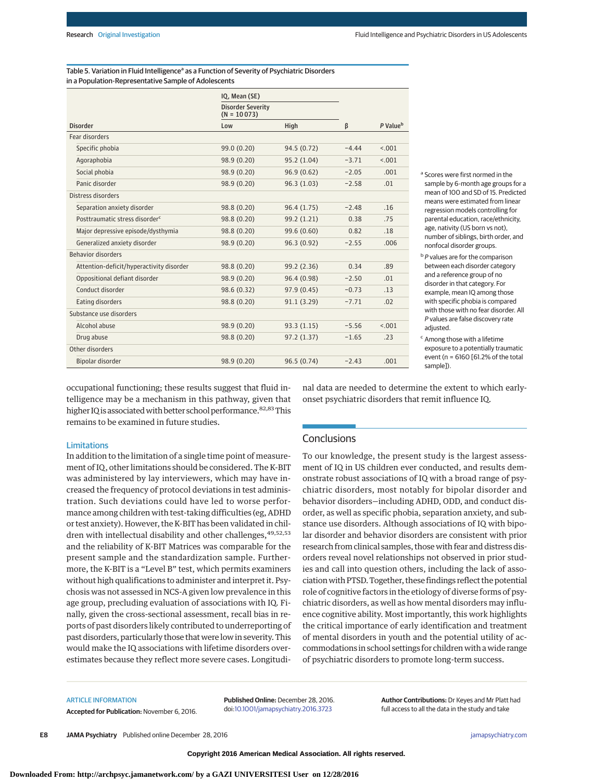Table 5. Variation in Fluid Intelligence<sup>a</sup> as a Function of Severity of Psychiatric Disorders in a Population-Representative Sample of Adolescents

|                                            | IQ, Mean (SE)                             |             |         |                      |
|--------------------------------------------|-------------------------------------------|-------------|---------|----------------------|
|                                            | <b>Disorder Severity</b><br>$(N = 10073)$ |             |         |                      |
| <b>Disorder</b>                            | Low                                       | High        | β       | P Value <sup>b</sup> |
| Fear disorders                             |                                           |             |         |                      |
| Specific phobia                            | 99.0 (0.20)                               | 94.5 (0.72) | $-4.44$ | < .001               |
| Agoraphobia                                | 98.9 (0.20)                               | 95.2 (1.04) | $-3.71$ | < 0.01               |
| Social phobia                              | 98.9 (0.20)                               | 96.9(0.62)  | $-2.05$ | .001                 |
| Panic disorder                             | 98.9 (0.20)                               | 96.3(1.03)  | $-2.58$ | .01                  |
| Distress disorders                         |                                           |             |         |                      |
| Separation anxiety disorder                | 98.8 (0.20)                               | 96.4 (1.75) | $-2.48$ | .16                  |
| Posttraumatic stress disorder <sup>c</sup> | 98.8 (0.20)                               | 99.2 (1.21) | 0.38    | .75                  |
| Major depressive episode/dysthymia         | 98.8 (0.20)                               | 99.6 (0.60) | 0.82    | .18                  |
| Generalized anxiety disorder               | 98.9 (0.20)                               | 96.3 (0.92) | $-2.55$ | .006                 |
| <b>Behavior disorders</b>                  |                                           |             |         |                      |
| Attention-deficit/hyperactivity disorder   | 98.8 (0.20)                               | 99.2 (2.36) | 0.34    | .89                  |
| Oppositional defiant disorder              | 98.9 (0.20)                               | 96.4 (0.98) | $-2.50$ | .01                  |
| Conduct disorder                           | 98.6 (0.32)                               | 97.9 (0.45) | $-0.73$ | .13                  |
| Eating disorders                           | 98.8 (0.20)                               | 91.1 (3.29) | $-7.71$ | .02                  |
| Substance use disorders                    |                                           |             |         |                      |
| Alcohol abuse                              | 98.9 (0.20)                               | 93.3(1.15)  | $-5.56$ | < 0.01               |
| Drug abuse                                 | 98.8 (0.20)                               | 97.2 (1.37) | $-1.65$ | .23                  |
| Other disorders                            |                                           |             |         |                      |
| Bipolar disorder                           | 98.9 (0.20)                               | 96.5(0.74)  | $-2.43$ | .001                 |

<sup>a</sup> Scores were first normed in the sample by 6-month age groups for a mean of 100 and SD of 15. Predicted means were estimated from linear regression models controlling for parental education, race/ethnicity, age, nativity (US born vs not), number of siblings, birth order, and nonfocal disorder groups.

 $b$  P values are for the comparison between each disorder category and a reference group of no disorder in that category. For example, mean IQ among those with specific phobia is compared with those with no fear disorder. All P values are false discovery rate adjusted.

<sup>c</sup> Among those with a lifetime exposure to a potentially traumatic event (n = 6160 [61.2% of the total sample]).

occupational functioning; these results suggest that fluid intelligence may be a mechanism in this pathway, given that higher IQ is associated with better school performance.<sup>82,83</sup>This remains to be examined in future studies.

nal data are needed to determine the extent to which earlyonset psychiatric disorders that remit influence IQ.

## Limitations

In addition to the limitation of a single time point of measurement of IQ, other limitations should be considered. The K-BIT was administered by lay interviewers, which may have increased the frequency of protocol deviations in test administration. Such deviations could have led to worse performance among children with test-taking difficulties (eg, ADHD or test anxiety). However, the K-BIT has been validated in children with intellectual disability and other challenges, <sup>49,52,53</sup> and the reliability of K-BIT Matrices was comparable for the present sample and the standardization sample. Furthermore, the K-BIT is a "Level B" test, which permits examiners without high qualifications to administer and interpret it. Psychosis was not assessed in NCS-A given low prevalence in this age group, precluding evaluation of associations with IQ. Finally, given the cross-sectional assessment, recall bias in reports of past disorders likely contributed to underreporting of past disorders, particularly those that were low in severity. This would make the IQ associations with lifetime disorders overestimates because they reflect more severe cases. Longitudi-

# Conclusions

To our knowledge, the present study is the largest assessment of IQ in US children ever conducted, and results demonstrate robust associations of IQ with a broad range of psychiatric disorders, most notably for bipolar disorder and behavior disorders—including ADHD, ODD, and conduct disorder, as well as specific phobia, separation anxiety, and substance use disorders. Although associations of IQ with bipolar disorder and behavior disorders are consistent with prior research from clinical samples, those with fear and distress disorders reveal novel relationships not observed in prior studies and call into question others, including the lack of association with PTSD. Together, these findings reflect the potential role of cognitive factors in the etiology of diverse forms of psychiatric disorders, as well as how mental disorders may influence cognitive ability. Most importantly, this work highlights the critical importance of early identification and treatment of mental disorders in youth and the potential utility of accommodations in school settings for children with a wide range of psychiatric disorders to promote long-term success.

#### ARTICLE INFORMATION

**Accepted for Publication:** November 6, 2016.

**Published Online:** December 28, 2016. doi[:10.1001/jamapsychiatry.2016.3723](http://jama.jamanetwork.com/article.aspx?doi=10.1001/jamapsychiatry.2016.3723&utm_campaign=articlePDF%26utm_medium=articlePDFlink%26utm_source=articlePDF%26utm_content=jamapsychiatry.2016.3723)

**Author Contributions:** Dr Keyes and Mr Platt had full access to all the data in the study and take

**E8 JAMA Psychiatry** Published online December 28, 2016 **(Reprinted)** and provide a state of the state of the state of the state of the state of the state of the state of the state of the state of the state of the state of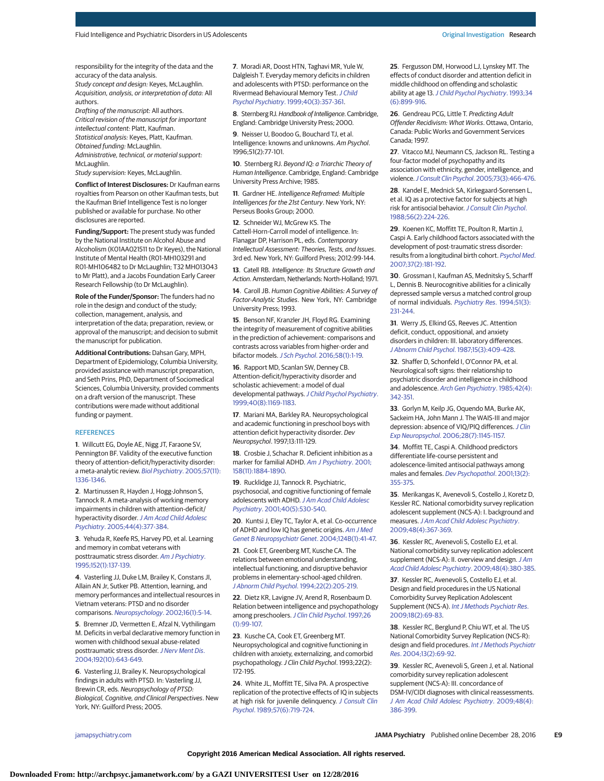responsibility for the integrity of the data and the accuracy of the data analysis.

Study concept and design: Keyes, McLaughlin. Acquisition, analysis, or interpretation of data: All authors.

Drafting of the manuscript: All authors. Critical revision of the manuscript for important intellectual content: Platt, Kaufman.

Statistical analysis: Keyes, Platt, Kaufman.

Obtained funding: McLaughlin.

Administrative, technical, or material support: McLaughlin.

Study supervision: Keyes, McLaughlin.

**Conflict of Interest Disclosures:** Dr Kaufman earns royalties from Pearson on other Kaufman tests, but the Kaufman Brief Intelligence Test is no longer published or available for purchase. No other disclosures are reported.

**Funding/Support:** The present study was funded by the National Institute on Alcohol Abuse and Alcoholism (K01AA021511 to Dr Keyes), the National Institute of Mental Health (R01-MH103291 and R01-MH106482 to Dr McLaughlin; T32 MH013043 to Mr Platt), and a Jacobs Foundation Early Career Research Fellowship (to Dr McLaughlin).

**Role of the Funder/Sponsor:** The funders had no role in the design and conduct of the study; collection, management, analysis, and interpretation of the data; preparation, review, or approval of the manuscript; and decision to submit the manuscript for publication.

**Additional Contributions:** Dahsan Gary, MPH, Department of Epidemiology, Columbia University, provided assistance with manuscript preparation, and Seth Prins, PhD, Department of Sociomedical Sciences, Columbia University, provided comments on a draft version of the manuscript. These contributions were made without additional funding or payment.

#### **REFERENCES**

**1**. Willcutt EG, Doyle AE, Nigg JT, Faraone SV, Pennington BF. Validity of the executive function theory of attention-deficit/hyperactivity disorder: a meta-analytic review. [Biol Psychiatry](https://www.ncbi.nlm.nih.gov/pubmed/15950006). 2005;57(11): [1336-1346.](https://www.ncbi.nlm.nih.gov/pubmed/15950006)

**2**. Martinussen R, Hayden J, Hogg-Johnson S, Tannock R. A meta-analysis of working memory impairments in children with attention-deficit/ hyperactivity disorder. [J Am Acad Child Adolesc](https://www.ncbi.nlm.nih.gov/pubmed/15782085) Psychiatry[. 2005;44\(4\):377-384.](https://www.ncbi.nlm.nih.gov/pubmed/15782085)

**3**. Yehuda R, Keefe RS, Harvey PD, et al. Learning and memory in combat veterans with posttraumatic stress disorder. [Am J Psychiatry](https://www.ncbi.nlm.nih.gov/pubmed/7802106). [1995;152\(1\):137-139.](https://www.ncbi.nlm.nih.gov/pubmed/7802106)

**4**. Vasterling JJ, Duke LM, Brailey K, Constans JI, Allain AN Jr, Sutker PB. Attention, learning, and memory performances and intellectual resources in Vietnam veterans: PTSD and no disorder comparisons. [Neuropsychology](https://www.ncbi.nlm.nih.gov/pubmed/11853357). 2002;16(1):5-14.

**5**. Bremner JD, Vermetten E, Afzal N, Vythilingam M. Deficits in verbal declarative memory function in women with childhood sexual abuse-related posttraumatic stress disorder.[J Nerv Ment Dis](https://www.ncbi.nlm.nih.gov/pubmed/15457106). [2004;192\(10\):643-649.](https://www.ncbi.nlm.nih.gov/pubmed/15457106)

**6**. Vasterling JJ, Brailey K. Neuropsychological findings in adults with PTSD. In: Vasterling JJ, Brewin CR, eds. Neuropsychology of PTSD: Biological, Cognitive, and Clinical Perspectives. New York, NY: Guilford Press; 2005.

**7**. Moradi AR, Doost HTN, Taghavi MR, Yule W, Dalgleish T. Everyday memory deficits in children and adolescents with PTSD: performance on the Rivermead Behavioural Memory Test. [J Child](https://www.ncbi.nlm.nih.gov/pubmed/10190337) Psychol Psychiatry[. 1999;40\(3\):357-361.](https://www.ncbi.nlm.nih.gov/pubmed/10190337)

**8**. Sternberg RJ.Handbook of Intelligence. Cambridge, England: Cambridge University Press; 2000.

**9**. Neisser U, Boodoo G, Bouchard TJ, et al. Intelligence: knowns and unknowns. Am Psychol. 1996;51(2):77-101.

**10**. Sternberg RJ. Beyond IQ: a Triarchic Theory of Human Intelligence. Cambridge, England: Cambridge University Press Archive; 1985.

**11**. Gardner HE. Intelligence Reframed: Multiple Intelligences for the 21st Century. New York, NY: Perseus Books Group; 2000.

**12**. Schneider WJ, McGrew KS. The Cattell-Horn-Carroll model of intelligence. In: Flanagar DP, Harrison PL, eds. Contemporary Intellectual Assessment: Theories, Tests, and Issues. 3rd ed. New York, NY: Guilford Press; 2012:99-144.

**13**. Catell RB. Intelligence: Its Structure Growth and Action. Amsterdam, Netherlands: North-Holland; 1971.

**14**. Caroll JB. Human Cognitive Abilities: A Survey of Factor-Analytic Studies. New York, NY: Cambridge University Press; 1993.

**15**. Benson NF, Kranzler JH, Floyd RG. Examining the integrity of measurement of cognitive abilities in the prediction of achievement: comparisons and contrasts across variables from higher-order and bifactor models.J Sch Psychol[. 2016;58\(1\):1-19.](https://www.ncbi.nlm.nih.gov/pubmed/27586067)

**16**. Rapport MD, Scanlan SW, Denney CB. Attention-deficit/hyperactivity disorder and scholastic achievement: a model of dual developmental pathways. [J Child Psychol Psychiatry](https://www.ncbi.nlm.nih.gov/pubmed/10604396). [1999;40\(8\):1169-1183.](https://www.ncbi.nlm.nih.gov/pubmed/10604396)

**17**. Mariani MA, Barkley RA. Neuropsychological and academic functioning in preschool boys with attention deficit hyperactivity disorder. Dev Neuropsychol. 1997;13:111-129.

**18**. Crosbie J, Schachar R. Deficient inhibition as a marker for familial ADHD. [Am J Psychiatry](https://www.ncbi.nlm.nih.gov/pubmed/11691696). 2001; [158\(11\):1884-1890.](https://www.ncbi.nlm.nih.gov/pubmed/11691696)

**19**. Rucklidge JJ, Tannock R. Psychiatric, psychosocial, and cognitive functioning of female adolescents with ADHD. [J Am Acad Child Adolesc](https://www.ncbi.nlm.nih.gov/pubmed/11349697) Psychiatry[. 2001;40\(5\):530-540.](https://www.ncbi.nlm.nih.gov/pubmed/11349697)

**20**. Kuntsi J, Eley TC, Taylor A, et al. Co-occurrence of ADHD and low IQ has genetic origins. [Am J Med](https://www.ncbi.nlm.nih.gov/pubmed/14681911) [Genet B Neuropsychiatr Genet](https://www.ncbi.nlm.nih.gov/pubmed/14681911). 2004;124B(1):41-47.

**21**. Cook ET, Greenberg MT, Kusche CA. The relations between emotional understanding, intellectual functioning, and disruptive behavior problems in elementary-school-aged children. [J Abnorm Child Psychol](https://www.ncbi.nlm.nih.gov/pubmed/8064029). 1994;22(2):205-219.

**22**. Dietz KR, Lavigne JV, Arend R, Rosenbaum D. Relation between intelligence and psychopathology among preschoolers. [J Clin Child Psychol](https://www.ncbi.nlm.nih.gov/pubmed/9118180). 1997;26 [\(1\):99-107.](https://www.ncbi.nlm.nih.gov/pubmed/9118180)

**23**. Kusche CA, Cook ET, Greenberg MT. Neuropsychological and cognitive functioning in children with anxiety, externalizing, and comorbid psychopathology.J Clin Child Psychol. 1993;22(2): 172-195.

**24**. White JL, Moffitt TE, Silva PA. A prospective replication of the protective effects of IQ in subjects at high risk for juvenile delinquency. [J Consult Clin](https://www.ncbi.nlm.nih.gov/pubmed/2600242) Psychol[. 1989;57\(6\):719-724.](https://www.ncbi.nlm.nih.gov/pubmed/2600242)

**25**. Fergusson DM, Horwood LJ, Lynskey MT. The effects of conduct disorder and attention deficit in middle childhood on offending and scholastic ability at age 13. [J Child Psychol Psychiatry](https://www.ncbi.nlm.nih.gov/pubmed/8408374). 1993;34 [\(6\):899-916.](https://www.ncbi.nlm.nih.gov/pubmed/8408374)

**26**. Gendreau PCG, Little T. Predicting Adult Offender Recidivism: What Works. Ottawa, Ontario, Canada: Public Works and Government Services Canada; 1997.

**27**. Vitacco MJ, Neumann CS, Jackson RL. Testing a four-factor model of psychopathy and its association with ethnicity, gender, intelligence, and violence.J Consult Clin Psychol[. 2005;73\(3\):466-476.](https://www.ncbi.nlm.nih.gov/pubmed/15982144)

**28**. Kandel E, Mednick SA, Kirkegaard-Sorensen L, et al. IQ as a protective factor for subjects at high risk for antisocial behavior. [J Consult Clin Psychol](https://www.ncbi.nlm.nih.gov/pubmed/3372829). [1988;56\(2\):224-226.](https://www.ncbi.nlm.nih.gov/pubmed/3372829)

**29**. Koenen KC, Moffitt TE, Poulton R, Martin J, Caspi A. Early childhood factors associated with the development of post-traumatic stress disorder: results from a longitudinal birth cohort. [Psychol Med](https://www.ncbi.nlm.nih.gov/pubmed/17052377). [2007;37\(2\):181-192.](https://www.ncbi.nlm.nih.gov/pubmed/17052377)

**30**. Grossman I, Kaufman AS, Mednitsky S, Scharff L, Dennis B. Neurocognitive abilities for a clinically depressed sample versus a matched control group of normal individuals. [Psychiatry Res](https://www.ncbi.nlm.nih.gov/pubmed/8208870). 1994;51(3): [231-244.](https://www.ncbi.nlm.nih.gov/pubmed/8208870)

**31**. Werry JS, Elkind GS, Reeves JC. Attention deficit, conduct, oppositional, and anxiety disorders in children: III. laboratory differences. [J Abnorm Child Psychol](https://www.ncbi.nlm.nih.gov/pubmed/3668087). 1987;15(3):409-428.

**32**. Shaffer D, Schonfeld I, O'Connor PA, et al. Neurological soft signs: their relationship to psychiatric disorder and intelligence in childhood and adolescence. [Arch Gen Psychiatry](https://www.ncbi.nlm.nih.gov/pubmed/3977551). 1985;42(4): [342-351.](https://www.ncbi.nlm.nih.gov/pubmed/3977551)

**33**. Gorlyn M, Keilp JG, Oquendo MA, Burke AK, Sackeim HA, John Mann J. The WAIS-III and major depression: absence of VIQ/PIQ differences. [J Clin](https://www.ncbi.nlm.nih.gov/pubmed/16840241) Exp Neuropsychol[. 2006;28\(7\):1145-1157.](https://www.ncbi.nlm.nih.gov/pubmed/16840241)

**34**. Moffitt TE, Caspi A. Childhood predictors differentiate life-course persistent and adolescence-limited antisocial pathways among males and females. [Dev Psychopathol](https://www.ncbi.nlm.nih.gov/pubmed/11393651). 2001;13(2): [355-375.](https://www.ncbi.nlm.nih.gov/pubmed/11393651)

**35**. Merikangas K, Avenevoli S, Costello J, Koretz D, Kessler RC. National comorbidity survey replication adolescent supplement (NCS-A): I. background and measures.[J Am Acad Child Adolesc Psychiatry](https://www.ncbi.nlm.nih.gov/pubmed/19242382). [2009;48\(4\):367-369.](https://www.ncbi.nlm.nih.gov/pubmed/19242382)

**36**. Kessler RC, Avenevoli S, Costello EJ, et al. National comorbidity survey replication adolescent supplement (NCS-A): II. overview and design. [J Am](https://www.ncbi.nlm.nih.gov/pubmed/19242381) [Acad Child Adolesc Psychiatry](https://www.ncbi.nlm.nih.gov/pubmed/19242381). 2009;48(4):380-385.

**37**. Kessler RC, Avenevoli S, Costello EJ, et al. Design and field procedures in the US National Comorbidity Survey Replication Adolescent Supplement (NCS-A). [Int J Methods Psychiatr Res](https://www.ncbi.nlm.nih.gov/pubmed/19507169). [2009;18\(2\):69-83.](https://www.ncbi.nlm.nih.gov/pubmed/19507169)

**38**. Kessler RC, Berglund P, Chiu WT, et al. The US National Comorbidity Survey Replication (NCS-R): design and field procedures. [Int J Methods Psychiatr](https://www.ncbi.nlm.nih.gov/pubmed/15297905) Res[. 2004;13\(2\):69-92.](https://www.ncbi.nlm.nih.gov/pubmed/15297905)

**39**. Kessler RC, Avenevoli S, Green J, et al. National comorbidity survey replication adolescent supplement (NCS-A): III. concordance of DSM-IV/CIDI diagnoses with clinical reassessments. [J Am Acad Child Adolesc Psychiatry](https://www.ncbi.nlm.nih.gov/pubmed/19252450). 2009;48(4): [386-399.](https://www.ncbi.nlm.nih.gov/pubmed/19252450)